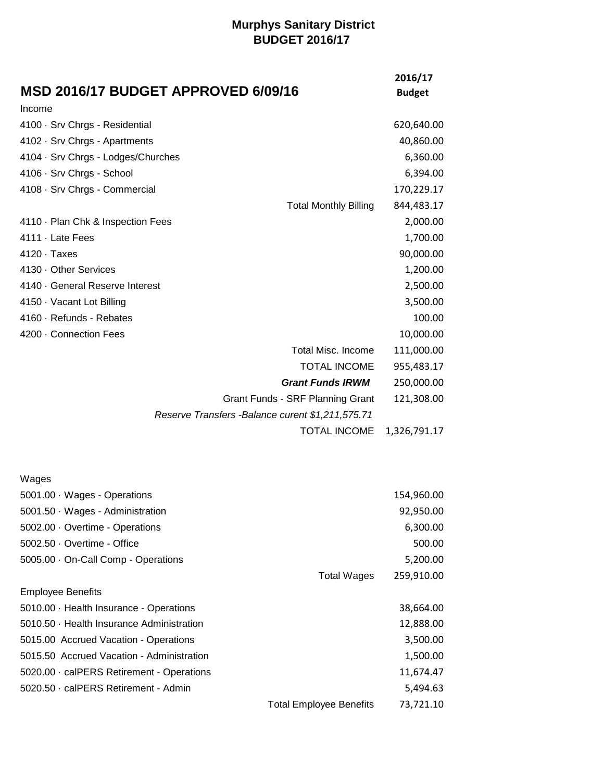| <b>MSD 2016/17 BUDGET APPROVED 6/09/16</b>        | 2016/17<br><b>Budget</b> |  |
|---------------------------------------------------|--------------------------|--|
| Income                                            |                          |  |
| 4100 · Srv Chrgs - Residential                    | 620,640.00               |  |
| 4102 · Srv Chrgs - Apartments                     | 40,860.00                |  |
| 4104 · Srv Chrgs - Lodges/Churches                | 6,360.00                 |  |
| 4106 · Srv Chrgs - School                         | 6,394.00                 |  |
| 4108 · Srv Chrgs - Commercial                     | 170,229.17               |  |
| <b>Total Monthly Billing</b>                      | 844,483.17               |  |
| 4110 · Plan Chk & Inspection Fees                 | 2,000.00                 |  |
| 4111 · Late Fees                                  | 1,700.00                 |  |
| 4120 · Taxes                                      | 90,000.00                |  |
| 4130 · Other Services                             | 1,200.00                 |  |
| 4140 · General Reserve Interest                   | 2,500.00                 |  |
| 4150 · Vacant Lot Billing                         | 3,500.00                 |  |
| 4160 · Refunds - Rebates                          | 100.00                   |  |
| 4200 · Connection Fees                            | 10,000.00                |  |
| <b>Total Misc. Income</b>                         | 111,000.00               |  |
| <b>TOTAL INCOME</b>                               | 955,483.17               |  |
| <b>Grant Funds IRWM</b>                           | 250,000.00               |  |
| Grant Funds - SRF Planning Grant                  | 121,308.00               |  |
| Reserve Transfers - Balance curent \$1,211,575.71 |                          |  |
| <b>TOTAL INCOME</b>                               | 1,326,791.17             |  |

| Wages                                     |                                |            |
|-------------------------------------------|--------------------------------|------------|
| 5001.00 · Wages - Operations              |                                | 154,960.00 |
| 5001.50 Wages - Administration            |                                | 92,950.00  |
| 5002.00 Overtime - Operations             |                                | 6,300.00   |
| $5002.50 \cdot$ Overtime - Office         |                                | 500.00     |
| 5005.00 · On-Call Comp - Operations       |                                | 5,200.00   |
|                                           | <b>Total Wages</b>             | 259,910.00 |
| Employee Benefits                         |                                |            |
| 5010.00 · Health Insurance - Operations   |                                | 38,664.00  |
| 5010.50 · Health Insurance Administration |                                | 12,888.00  |
| 5015.00 Accrued Vacation - Operations     |                                | 3,500.00   |
| 5015.50 Accrued Vacation - Administration |                                | 1,500.00   |
| 5020.00 · calPERS Retirement - Operations |                                | 11,674.47  |
| 5020.50 · calPERS Retirement - Admin      |                                | 5,494.63   |
|                                           | <b>Total Employee Benefits</b> | 73,721.10  |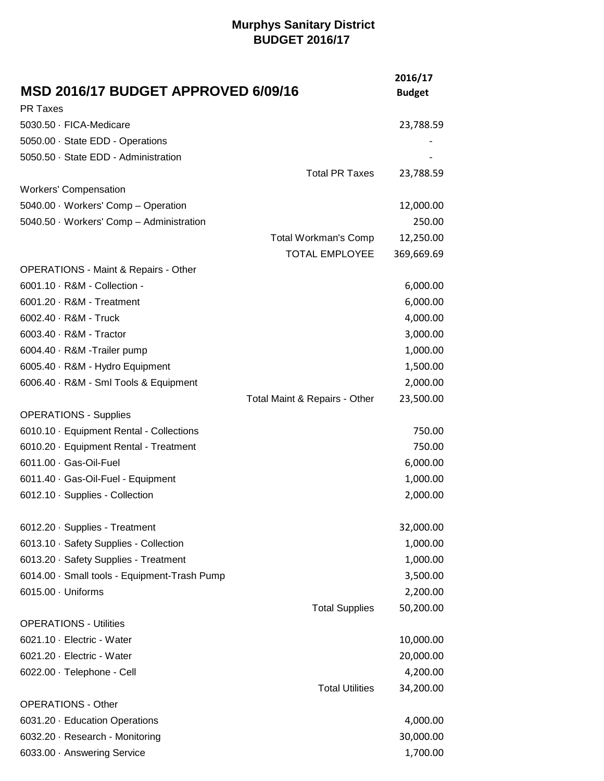| <b>MSD 2016/17 BUDGET APPROVED 6/09/16</b><br><b>PR Taxes</b> |                               | 2016/17<br><b>Budget</b> |
|---------------------------------------------------------------|-------------------------------|--------------------------|
| 5030.50 · FICA-Medicare                                       |                               | 23,788.59                |
| 5050.00 · State EDD - Operations                              |                               |                          |
| 5050.50 · State EDD - Administration                          |                               |                          |
|                                                               | <b>Total PR Taxes</b>         | 23,788.59                |
| <b>Workers' Compensation</b>                                  |                               |                          |
| 5040.00 · Workers' Comp - Operation                           |                               | 12,000.00                |
| 5040.50 · Workers' Comp - Administration                      |                               | 250.00                   |
|                                                               | <b>Total Workman's Comp</b>   | 12,250.00                |
|                                                               | <b>TOTAL EMPLOYEE</b>         | 369,669.69               |
| <b>OPERATIONS - Maint &amp; Repairs - Other</b>               |                               |                          |
| 6001.10 · R&M - Collection -                                  |                               | 6,000.00                 |
| 6001.20 · R&M - Treatment                                     |                               | 6,000.00                 |
| 6002.40 · R&M - Truck                                         |                               | 4,000.00                 |
| 6003.40 - R&M - Tractor                                       |                               | 3,000.00                 |
| 6004.40 · R&M -Trailer pump                                   |                               | 1,000.00                 |
| 6005.40 · R&M - Hydro Equipment                               |                               | 1,500.00                 |
| 6006.40 · R&M - Sml Tools & Equipment                         |                               | 2,000.00                 |
|                                                               | Total Maint & Repairs - Other | 23,500.00                |
| <b>OPERATIONS - Supplies</b>                                  |                               |                          |
| 6010.10 · Equipment Rental - Collections                      |                               | 750.00                   |
| 6010.20 · Equipment Rental - Treatment                        |                               | 750.00                   |
| 6011.00 · Gas-Oil-Fuel                                        |                               | 6,000.00                 |
| 6011.40 · Gas-Oil-Fuel - Equipment                            |                               | 1,000.00                 |
| 6012.10 · Supplies - Collection                               |                               | 2,000.00                 |
| 6012.20 · Supplies - Treatment                                |                               | 32,000.00                |
| 6013.10 · Safety Supplies - Collection                        |                               | 1,000.00                 |
| 6013.20 · Safety Supplies - Treatment                         |                               | 1,000.00                 |
| 6014.00 · Small tools - Equipment-Trash Pump                  |                               | 3,500.00                 |
| 6015.00 · Uniforms                                            |                               | 2,200.00                 |
|                                                               | <b>Total Supplies</b>         | 50,200.00                |
| <b>OPERATIONS - Utilities</b>                                 |                               |                          |
| 6021.10 · Electric - Water                                    |                               | 10,000.00                |
| 6021.20 · Electric - Water                                    |                               | 20,000.00                |
| 6022.00 · Telephone - Cell                                    |                               | 4,200.00                 |
| <b>OPERATIONS - Other</b>                                     | <b>Total Utilities</b>        | 34,200.00                |
| 6031.20 · Education Operations                                |                               | 4,000.00                 |
| 6032.20 · Research - Monitoring                               |                               | 30,000.00                |
| 6033.00 Answering Service                                     |                               | 1,700.00                 |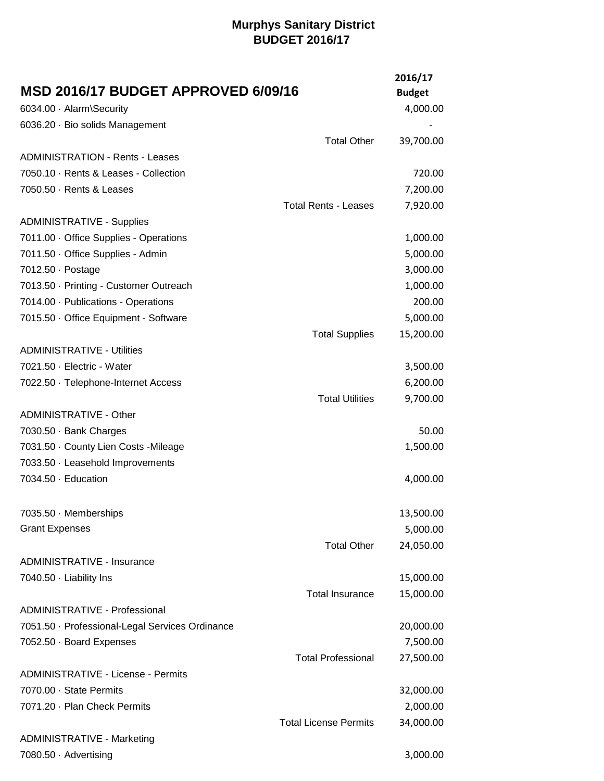| <b>MSD 2016/17 BUDGET APPROVED 6/09/16</b><br>6034.00 · Alarm\Security |                              | 2016/17<br><b>Budget</b><br>4,000.00 |
|------------------------------------------------------------------------|------------------------------|--------------------------------------|
| 6036.20 · Bio solids Management                                        |                              |                                      |
|                                                                        | <b>Total Other</b>           | 39,700.00                            |
| <b>ADMINISTRATION - Rents - Leases</b>                                 |                              |                                      |
| 7050.10 · Rents & Leases - Collection                                  |                              | 720.00                               |
| 7050.50 · Rents & Leases                                               |                              | 7,200.00                             |
|                                                                        | <b>Total Rents - Leases</b>  | 7,920.00                             |
| <b>ADMINISTRATIVE - Supplies</b>                                       |                              |                                      |
| 7011.00 Office Supplies - Operations                                   |                              | 1,000.00                             |
| 7011.50 · Office Supplies - Admin                                      |                              | 5,000.00                             |
| 7012.50 · Postage                                                      |                              | 3,000.00                             |
| 7013.50 · Printing - Customer Outreach                                 |                              | 1,000.00                             |
| 7014.00 · Publications - Operations                                    |                              | 200.00                               |
| 7015.50 · Office Equipment - Software                                  |                              | 5,000.00                             |
|                                                                        | <b>Total Supplies</b>        | 15,200.00                            |
| <b>ADMINISTRATIVE - Utilities</b>                                      |                              |                                      |
| 7021.50 · Electric - Water                                             |                              | 3,500.00                             |
| 7022.50 · Telephone-Internet Access                                    |                              | 6,200.00                             |
|                                                                        | <b>Total Utilities</b>       | 9,700.00                             |
| <b>ADMINISTRATIVE - Other</b>                                          |                              |                                      |
| 7030.50 · Bank Charges                                                 |                              | 50.00                                |
| 7031.50 County Lien Costs - Mileage                                    |                              | 1,500.00                             |
| 7033.50 · Leasehold Improvements                                       |                              |                                      |
| 7034.50 · Education                                                    |                              | 4,000.00                             |
| 7035.50 Memberships                                                    |                              |                                      |
| <b>Grant Expenses</b>                                                  |                              | 13,500.00<br>5,000.00                |
|                                                                        | <b>Total Other</b>           | 24,050.00                            |
| <b>ADMINISTRATIVE - Insurance</b>                                      |                              |                                      |
| 7040.50 · Liability Ins                                                |                              | 15,000.00                            |
|                                                                        | <b>Total Insurance</b>       | 15,000.00                            |
| ADMINISTRATIVE - Professional                                          |                              |                                      |
| 7051.50 · Professional-Legal Services Ordinance                        |                              | 20,000.00                            |
| 7052.50 · Board Expenses                                               |                              | 7,500.00                             |
|                                                                        | <b>Total Professional</b>    | 27,500.00                            |
| <b>ADMINISTRATIVE - License - Permits</b>                              |                              |                                      |
| 7070.00 · State Permits                                                |                              | 32,000.00                            |
| 7071.20 · Plan Check Permits                                           |                              | 2,000.00                             |
|                                                                        | <b>Total License Permits</b> | 34,000.00                            |
| <b>ADMINISTRATIVE - Marketing</b>                                      |                              |                                      |
| 7080.50 Advertising                                                    |                              | 3,000.00                             |